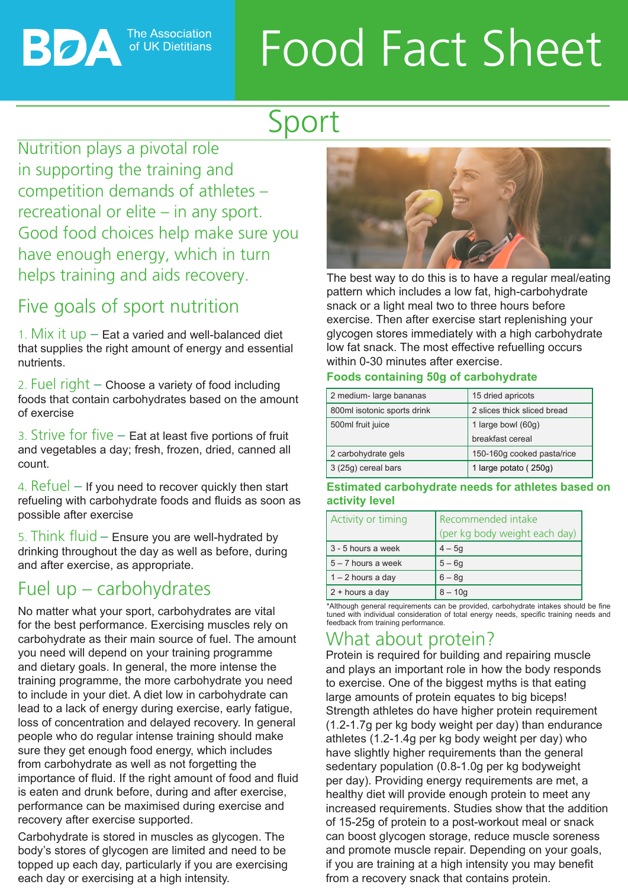**The Association** of UK Dietitians

ВОА

# Food Fact Sheet

# Sport

Nutrition plays a pivotal role in supporting the training and competition demands of athletes – recreational or elite – in any sport. Good food choices help make sure you have enough energy, which in turn helps training and aids recovery.

# Five goals of sport nutrition

1. Mix it  $up$  – Eat a varied and well-balanced diet that supplies the right amount of energy and essential nutrients.

2. Fuel right – Choose a variety of food including foods that contain carbohydrates based on the amount of exercise

3. Strive for five – Eat at least five portions of fruit and vegetables a day; fresh, frozen, dried, canned all count.

4. Refuel  $-$  If you need to recover quickly then start refueling with carbohydrate foods and fluids as soon as possible after exercise

5. Think fluid – Ensure you are well-hydrated by drinking throughout the day as well as before, during and after exercise, as appropriate.

### Fuel up – carbohydrates

No matter what your sport, carbohydrates are vital for the best performance. Exercising muscles rely on carbohydrate as their main source of fuel. The amount you need will depend on your training programme and dietary goals. In general, the more intense the training programme, the more carbohydrate you need to include in your diet. A diet low in carbohydrate can lead to a lack of energy during exercise, early fatigue, loss of concentration and delayed recovery. In general people who do regular intense training should make sure they get enough food energy, which includes from carbohydrate as well as not forgetting the importance of fluid. If the right amount of food and fluid is eaten and drunk before, during and after exercise, performance can be maximised during exercise and recovery after exercise supported.

Carbohydrate is stored in muscles as glycogen. The body's stores of glycogen are limited and need to be topped up each day, particularly if you are exercising each day or exercising at a high intensity.



The best way to do this is to have a regular meal/eating pattern which includes a low fat, high-carbohydrate snack or a light meal two to three hours before exercise. Then after exercise start replenishing your glycogen stores immediately with a high carbohydrate low fat snack. The most effective refuelling occurs within 0-30 minutes after exercise.

### **Foods containing 50g of carbohydrate**

| 2 medium- large bananas     | 15 dried apricots           |
|-----------------------------|-----------------------------|
| 800ml isotonic sports drink | 2 slices thick sliced bread |
| 500ml fruit juice           | 1 large bowl (60g)          |
|                             | breakfast cereal            |
| 2 carbohydrate gels         | 150-160g cooked pasta/rice  |
| 3 (25g) cereal bars         | 1 large potato (250g)       |

**Estimated carbohydrate needs for athletes based on activity level**

| Activity or timing   | Recommended intake<br>(per kg body weight each day) |
|----------------------|-----------------------------------------------------|
| 3 - 5 hours a week   | $4 - 5g$                                            |
| $5 - 7$ hours a week | $5 - 6g$                                            |
| $1 - 2$ hours a day  | $6 - 8g$                                            |
| $2 + hours a day$    | $8 - 10q$                                           |

\*Although general requirements can be provided, carbohydrate intakes should be fine tuned with individual consideration of total energy needs, specific training needs and feedback from training performance.

## What about protein?

Protein is required for building and repairing muscle and plays an important role in how the body responds to exercise. One of the biggest myths is that eating large amounts of protein equates to big biceps! Strength athletes do have higher protein requirement (1.2-1.7g per kg body weight per day) than endurance athletes (1.2-1.4g per kg body weight per day) who have slightly higher requirements than the general sedentary population (0.8-1.0g per kg bodyweight per day). Providing energy requirements are met, a healthy diet will provide enough protein to meet any increased requirements. Studies show that the addition of 15-25g of protein to a post-workout meal or snack can boost glycogen storage, reduce muscle soreness and promote muscle repair. Depending on your goals, if you are training at a high intensity you may benefit from a recovery snack that contains protein.